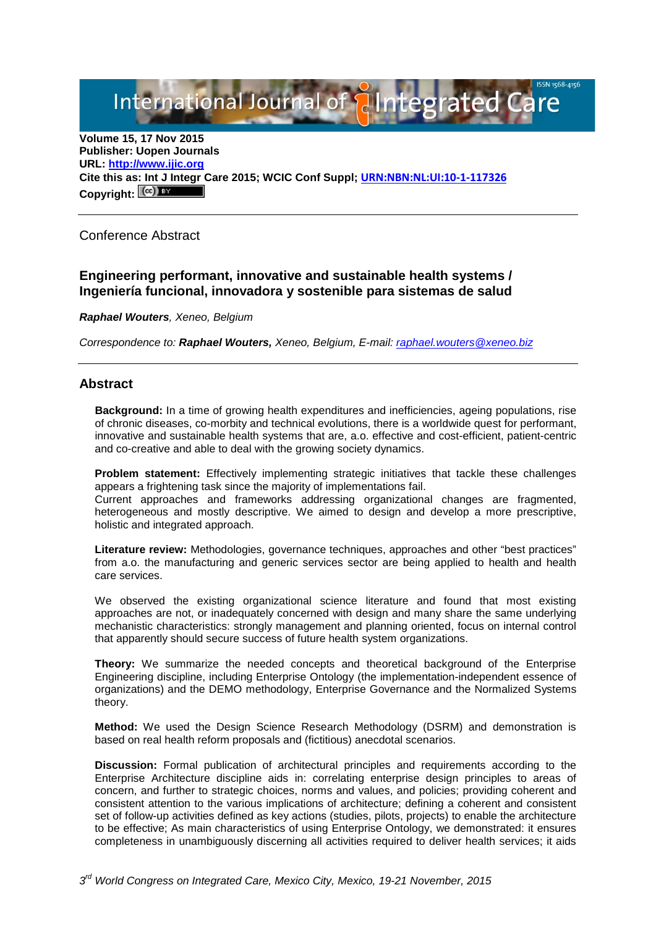International Journal of **Plantegrated Care** 

**Volume 15, 17 Nov 2015 Publisher: Uopen Journals URL: [http://www.ijic.org](http://www.ijic.org/) Cite this as: Int J Integr Care 2015; WCIC Conf Suppl; [URN:NBN:NL:UI:10-1-117326](http://persistent-identifier.nl/?identifier=URN:NBN:NL:UI:10-1-117326)** Copyright:  $(cc)$ 

Conference Abstract

# **Engineering performant, innovative and sustainable health systems / Ingeniería funcional, innovadora y sostenible para sistemas de salud**

*Raphael Wouters, Xeneo, Belgium*

*Correspondence to: Raphael Wouters, Xeneo, Belgium, E-mail: [raphael.wouters@xeneo.biz](mailto:raphael.wouters@xeneo.biz)*

## **Abstract**

**Background:** In a time of growing health expenditures and inefficiencies, ageing populations, rise of chronic diseases, co-morbity and technical evolutions, there is a worldwide quest for performant, innovative and sustainable health systems that are, a.o. effective and cost-efficient, patient-centric and co-creative and able to deal with the growing society dynamics.

**Problem statement:** Effectively implementing strategic initiatives that tackle these challenges appears a frightening task since the majority of implementations fail.

Current approaches and frameworks addressing organizational changes are fragmented, heterogeneous and mostly descriptive. We aimed to design and develop a more prescriptive, holistic and integrated approach.

**Literature review:** Methodologies, governance techniques, approaches and other "best practices" from a.o. the manufacturing and generic services sector are being applied to health and health care services.

We observed the existing organizational science literature and found that most existing approaches are not, or inadequately concerned with design and many share the same underlying mechanistic characteristics: strongly management and planning oriented, focus on internal control that apparently should secure success of future health system organizations.

**Theory:** We summarize the needed concepts and theoretical background of the Enterprise Engineering discipline, including Enterprise Ontology (the implementation-independent essence of organizations) and the DEMO methodology, Enterprise Governance and the Normalized Systems theory.

**Method:** We used the Design Science Research Methodology (DSRM) and demonstration is based on real health reform proposals and (fictitious) anecdotal scenarios.

**Discussion:** Formal publication of architectural principles and requirements according to the Enterprise Architecture discipline aids in: correlating enterprise design principles to areas of concern, and further to strategic choices, norms and values, and policies; providing coherent and consistent attention to the various implications of architecture; defining a coherent and consistent set of follow-up activities defined as key actions (studies, pilots, projects) to enable the architecture to be effective; As main characteristics of using Enterprise Ontology, we demonstrated: it ensures completeness in unambiguously discerning all activities required to deliver health services; it aids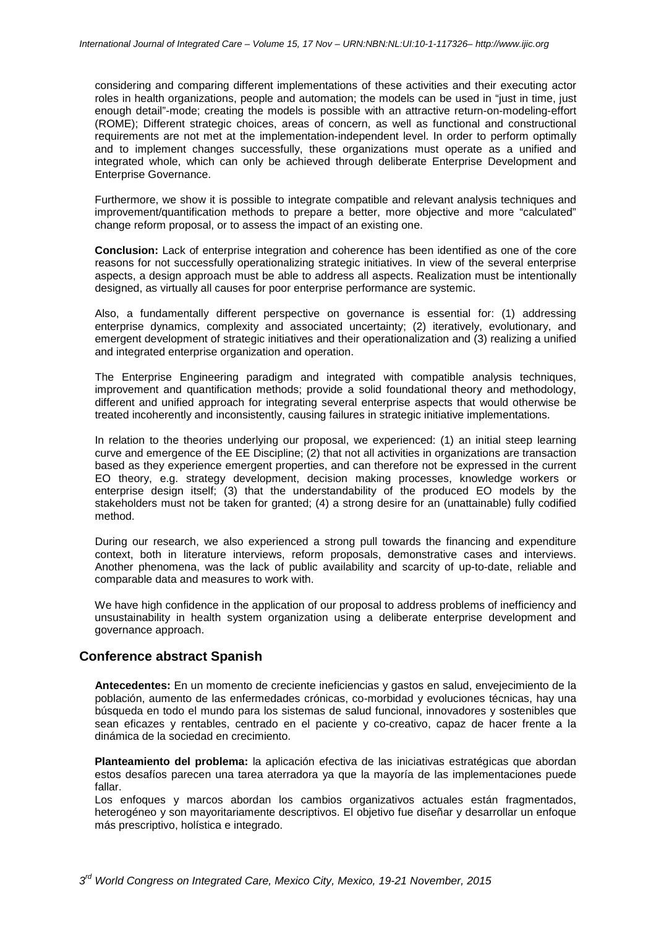considering and comparing different implementations of these activities and their executing actor roles in health organizations, people and automation; the models can be used in "just in time, just enough detail"-mode; creating the models is possible with an attractive return-on-modeling-effort (ROME); Different strategic choices, areas of concern, as well as functional and constructional requirements are not met at the implementation-independent level. In order to perform optimally and to implement changes successfully, these organizations must operate as a unified and integrated whole, which can only be achieved through deliberate Enterprise Development and Enterprise Governance.

Furthermore, we show it is possible to integrate compatible and relevant analysis techniques and improvement/quantification methods to prepare a better, more objective and more "calculated" change reform proposal, or to assess the impact of an existing one.

**Conclusion:** Lack of enterprise integration and coherence has been identified as one of the core reasons for not successfully operationalizing strategic initiatives. In view of the several enterprise aspects, a design approach must be able to address all aspects. Realization must be intentionally designed, as virtually all causes for poor enterprise performance are systemic.

Also, a fundamentally different perspective on governance is essential for: (1) addressing enterprise dynamics, complexity and associated uncertainty; (2) iteratively, evolutionary, and emergent development of strategic initiatives and their operationalization and (3) realizing a unified and integrated enterprise organization and operation.

The Enterprise Engineering paradigm and integrated with compatible analysis techniques, improvement and quantification methods; provide a solid foundational theory and methodology, different and unified approach for integrating several enterprise aspects that would otherwise be treated incoherently and inconsistently, causing failures in strategic initiative implementations.

In relation to the theories underlying our proposal, we experienced: (1) an initial steep learning curve and emergence of the EE Discipline; (2) that not all activities in organizations are transaction based as they experience emergent properties, and can therefore not be expressed in the current EO theory, e.g. strategy development, decision making processes, knowledge workers or enterprise design itself; (3) that the understandability of the produced EO models by the stakeholders must not be taken for granted; (4) a strong desire for an (unattainable) fully codified method.

During our research, we also experienced a strong pull towards the financing and expenditure context, both in literature interviews, reform proposals, demonstrative cases and interviews. Another phenomena, was the lack of public availability and scarcity of up-to-date, reliable and comparable data and measures to work with.

We have high confidence in the application of our proposal to address problems of inefficiency and unsustainability in health system organization using a deliberate enterprise development and governance approach.

### **Conference abstract Spanish**

**Antecedentes:** En un momento de creciente ineficiencias y gastos en salud, envejecimiento de la población, aumento de las enfermedades crónicas, co-morbidad y evoluciones técnicas, hay una búsqueda en todo el mundo para los sistemas de salud funcional, innovadores y sostenibles que sean eficazes y rentables, centrado en el paciente y co-creativo, capaz de hacer frente a la dinámica de la sociedad en crecimiento.

**Planteamiento del problema:** la aplicación efectiva de las iniciativas estratégicas que abordan estos desafíos parecen una tarea aterradora ya que la mayoría de las implementaciones puede fallar.

Los enfoques y marcos abordan los cambios organizativos actuales están fragmentados, heterogéneo y son mayoritariamente descriptivos. El objetivo fue diseñar y desarrollar un enfoque más prescriptivo, holística e integrado.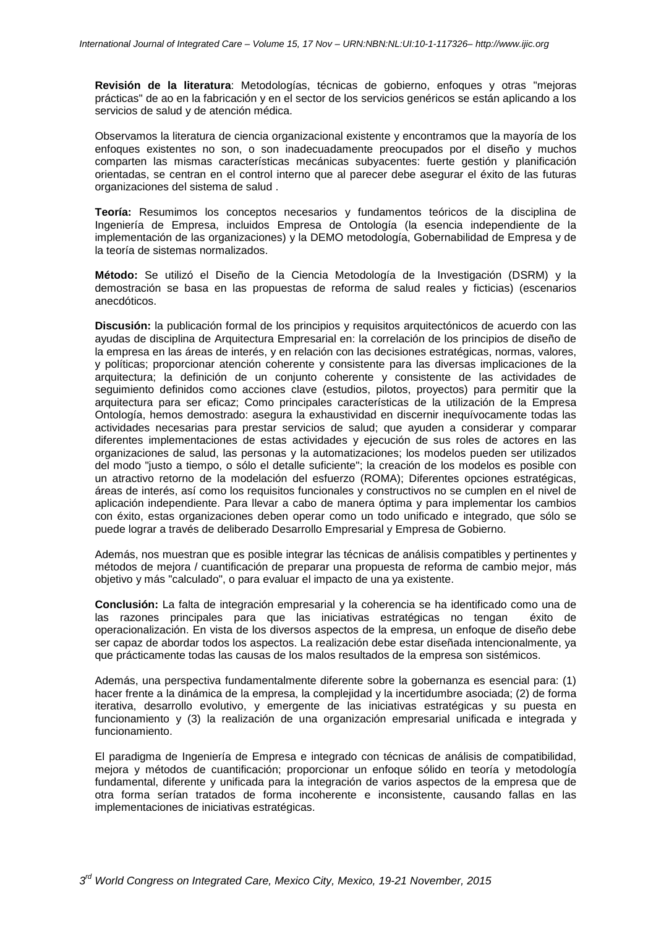**Revisión de la literatura**: Metodologías, técnicas de gobierno, enfoques y otras "mejoras prácticas" de ao en la fabricación y en el sector de los servicios genéricos se están aplicando a los servicios de salud y de atención médica.

Observamos la literatura de ciencia organizacional existente y encontramos que la mayoría de los enfoques existentes no son, o son inadecuadamente preocupados por el diseño y muchos comparten las mismas características mecánicas subyacentes: fuerte gestión y planificación orientadas, se centran en el control interno que al parecer debe asegurar el éxito de las futuras organizaciones del sistema de salud .

**Teoría:** Resumimos los conceptos necesarios y fundamentos teóricos de la disciplina de Ingeniería de Empresa, incluidos Empresa de Ontología (la esencia independiente de la implementación de las organizaciones) y la DEMO metodología, Gobernabilidad de Empresa y de la teoría de sistemas normalizados.

**Método:** Se utilizó el Diseño de la Ciencia Metodología de la Investigación (DSRM) y la demostración se basa en las propuestas de reforma de salud reales y ficticias) (escenarios anecdóticos.

**Discusión:** la publicación formal de los principios y requisitos arquitectónicos de acuerdo con las ayudas de disciplina de Arquitectura Empresarial en: la correlación de los principios de diseño de la empresa en las áreas de interés, y en relación con las decisiones estratégicas, normas, valores, y políticas; proporcionar atención coherente y consistente para las diversas implicaciones de la arquitectura; la definición de un conjunto coherente y consistente de las actividades de seguimiento definidos como acciones clave (estudios, pilotos, proyectos) para permitir que la arquitectura para ser eficaz; Como principales características de la utilización de la Empresa Ontología, hemos demostrado: asegura la exhaustividad en discernir inequívocamente todas las actividades necesarias para prestar servicios de salud; que ayuden a considerar y comparar diferentes implementaciones de estas actividades y ejecución de sus roles de actores en las organizaciones de salud, las personas y la automatizaciones; los modelos pueden ser utilizados del modo "justo a tiempo, o sólo el detalle suficiente"; la creación de los modelos es posible con un atractivo retorno de la modelación del esfuerzo (ROMA); Diferentes opciones estratégicas, áreas de interés, así como los requisitos funcionales y constructivos no se cumplen en el nivel de aplicación independiente. Para llevar a cabo de manera óptima y para implementar los cambios con éxito, estas organizaciones deben operar como un todo unificado e integrado, que sólo se puede lograr a través de deliberado Desarrollo Empresarial y Empresa de Gobierno.

Además, nos muestran que es posible integrar las técnicas de análisis compatibles y pertinentes y métodos de mejora / cuantificación de preparar una propuesta de reforma de cambio mejor, más objetivo y más "calculado", o para evaluar el impacto de una ya existente.

**Conclusión:** La falta de integración empresarial y la coherencia se ha identificado como una de las razones principales para que las iniciativas estratégicas no tengan éxito de operacionalización. En vista de los diversos aspectos de la empresa, un enfoque de diseño debe ser capaz de abordar todos los aspectos. La realización debe estar diseñada intencionalmente, ya que prácticamente todas las causas de los malos resultados de la empresa son sistémicos.

Además, una perspectiva fundamentalmente diferente sobre la gobernanza es esencial para: (1) hacer frente a la dinámica de la empresa, la complejidad y la incertidumbre asociada; (2) de forma iterativa, desarrollo evolutivo, y emergente de las iniciativas estratégicas y su puesta en funcionamiento y (3) la realización de una organización empresarial unificada e integrada y funcionamiento.

El paradigma de Ingeniería de Empresa e integrado con técnicas de análisis de compatibilidad, mejora y métodos de cuantificación; proporcionar un enfoque sólido en teoría y metodología fundamental, diferente y unificada para la integración de varios aspectos de la empresa que de otra forma serían tratados de forma incoherente e inconsistente, causando fallas en las implementaciones de iniciativas estratégicas.